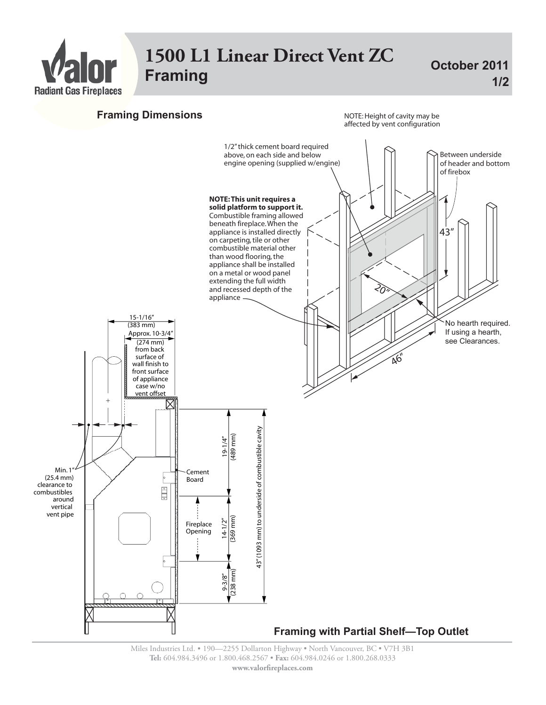

## **1500 L1 Linear Direct Vent ZC** Praming **Framing 1/20 2011**

 $1/2$ 



Miles Industries Ltd. • 190—2255 Dollarton Highway • North Vancouver, BC • V7H 3B1 **Tel:** 604.984.3496 or 1.800.468.2567 • **Fax:** 604.984.0246 or 1.800.268.0333 **www.valor!replaces.com**